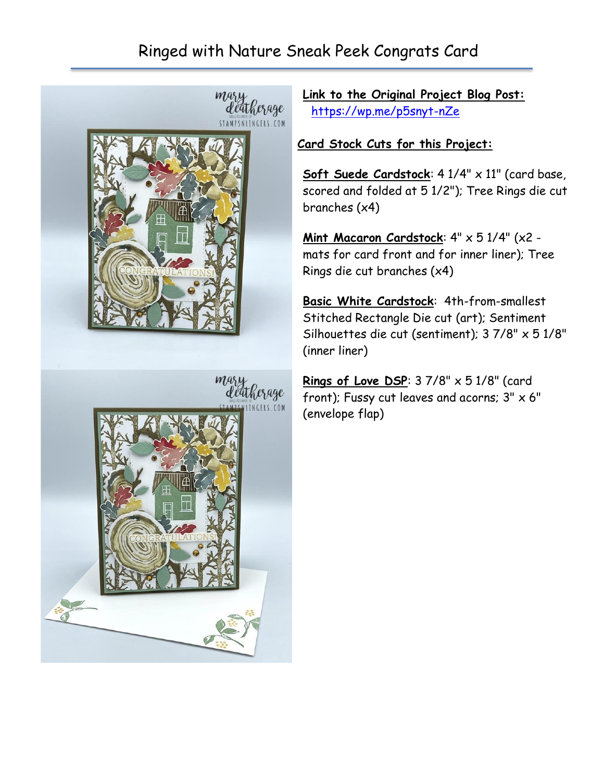# Ringed with Nature Sneak Peek Congrats Card



**Link to the Original Project Blog Post:** <https://wp.me/p5snyt-nZe>

### **Card Stock Cuts for this Project:**

**Soft Suede Cardstock**: 4 1/4" x 11" (card base, scored and folded at 5 1/2"); Tree Rings die cut branches (x4)

**Mint Macaron Cardstock**: 4" x 5 1/4" (x2 mats for card front and for inner liner); Tree Rings die cut branches (x4)

**Basic White Cardstock**: 4th-from-smallest Stitched Rectangle Die cut (art); Sentiment Silhouettes die cut (sentiment); 3 7/8" x 5 1/8" (inner liner)

**Rings of Love DSP:** 3 7/8" x 5 1/8" (card front); Fussy cut leaves and acorns;  $3'' \times 6''$ (envelope flap)

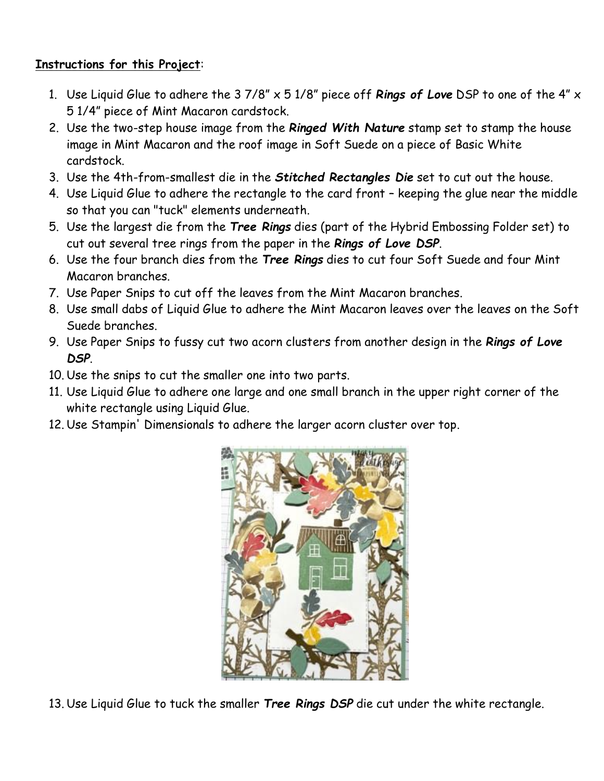### **Instructions for this Project**:

- 1. Use Liquid Glue to adhere the 3 7/8" x 5 1/8" piece off *Rings of Love* DSP to one of the 4" x 5 1/4" piece of Mint Macaron cardstock.
- 2. Use the two-step house image from the *Ringed With Nature* stamp set to stamp the house image in Mint Macaron and the roof image in Soft Suede on a piece of Basic White cardstock.
- 3. Use the 4th-from-smallest die in the *Stitched Rectangles Die* set to cut out the house.
- 4. Use Liquid Glue to adhere the rectangle to the card front keeping the glue near the middle so that you can "tuck" elements underneath.
- 5. Use the largest die from the *Tree Rings* dies (part of the Hybrid Embossing Folder set) to cut out several tree rings from the paper in the *Rings of Love DSP*.
- 6. Use the four branch dies from the *Tree Rings* dies to cut four Soft Suede and four Mint Macaron branches.
- 7. Use Paper Snips to cut off the leaves from the Mint Macaron branches.
- 8. Use small dabs of Liquid Glue to adhere the Mint Macaron leaves over the leaves on the Soft Suede branches.
- 9. Use Paper Snips to fussy cut two acorn clusters from another design in the *Rings of Love DSP*.
- 10. Use the snips to cut the smaller one into two parts.
- 11. Use Liquid Glue to adhere one large and one small branch in the upper right corner of the white rectangle using Liquid Glue.
- 12. Use Stampin' Dimensionals to adhere the larger acorn cluster over top.



13. Use Liquid Glue to tuck the smaller *Tree Rings DSP* die cut under the white rectangle.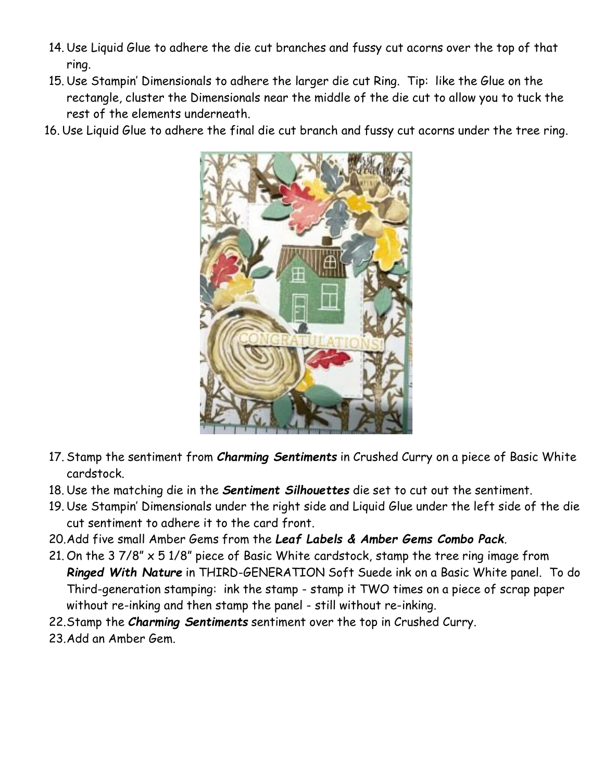- 14. Use Liquid Glue to adhere the die cut branches and fussy cut acorns over the top of that ring.
- 15. Use Stampin' Dimensionals to adhere the larger die cut Ring. Tip: like the Glue on the rectangle, cluster the Dimensionals near the middle of the die cut to allow you to tuck the rest of the elements underneath.
- 16. Use Liquid Glue to adhere the final die cut branch and fussy cut acorns under the tree ring.



- 17. Stamp the sentiment from *Charming Sentiments* in Crushed Curry on a piece of Basic White cardstock.
- 18. Use the matching die in the *Sentiment Silhouettes* die set to cut out the sentiment.
- 19. Use Stampin' Dimensionals under the right side and Liquid Glue under the left side of the die cut sentiment to adhere it to the card front.
- 20.Add five small Amber Gems from the *Leaf Labels & Amber Gems Combo Pack*.
- 21. On the 3 7/8" x 5 1/8" piece of Basic White cardstock, stamp the tree ring image from *Ringed With Nature* in THIRD-GENERATION Soft Suede ink on a Basic White panel. To do Third-generation stamping: ink the stamp - stamp it TWO times on a piece of scrap paper without re-inking and then stamp the panel - still without re-inking.
- 22.Stamp the *Charming Sentiments* sentiment over the top in Crushed Curry.
- 23.Add an Amber Gem.